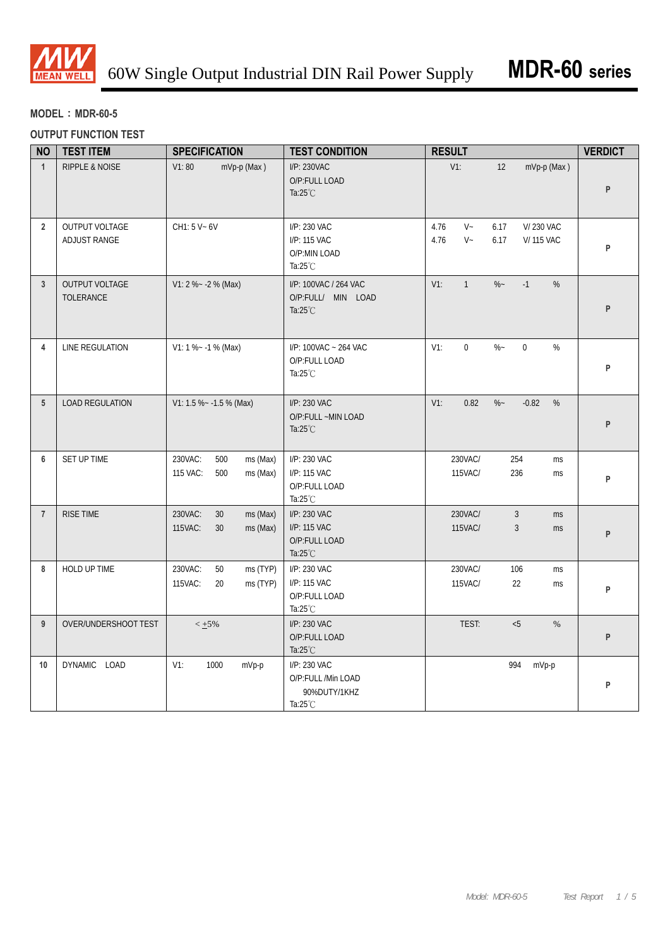

## **MODEL**:**MDR-60-5**

### **OUTPUT FUNCTION TEST**

| <b>NO</b>      | <b>TEST ITEM</b>                   | <b>SPECIFICATION</b>                                      | <b>TEST CONDITION</b>                                                    | <b>RESULT</b>                                                                   | <b>VERDICT</b> |
|----------------|------------------------------------|-----------------------------------------------------------|--------------------------------------------------------------------------|---------------------------------------------------------------------------------|----------------|
| $\mathbf{1}$   | RIPPLE & NOISE                     | V1:80<br>mVp-p (Max)                                      | I/P: 230VAC<br>O/P:FULL LOAD<br>Ta: $25^{\circ}$ C                       | $V1$ :<br>mVp-p (Max)<br>12                                                     | P              |
| $\overline{2}$ | OUTPUT VOLTAGE<br>ADJUST RANGE     | CH1: 5 V ~ 6V                                             | I/P: 230 VAC<br>I/P: 115 VAC<br>O/P:MIN LOAD<br>Ta: $25^{\circ}$ C       | $V -$<br>V/230 VAC<br>4.76<br>6.17<br>4.76<br>$V -$<br>6.17<br><b>V/115 VAC</b> | P              |
| $\overline{3}$ | <b>OUTPUT VOLTAGE</b><br>TOLERANCE | $V1: 2 % -2 % (Max)$                                      | I/P: 100VAC / 264 VAC<br>O/P:FULL/ MIN LOAD<br>Ta: $25^{\circ}$ C        | $\%$ ~<br>$-1$<br>$V1$ :<br>$\mathbf{1}$<br>%                                   | P              |
| 4              | LINE REGULATION                    | $V1: 1 % - 1 % (Max)$                                     | I/P: 100VAC ~ 264 VAC<br>O/P:FULL LOAD<br>Ta:25°C                        | $\boldsymbol{0}$<br>$\%$ ~<br>$\boldsymbol{0}$<br>$\%$<br>$V1$ :                | P              |
| 5 <sup>5</sup> | <b>LOAD REGULATION</b>             | V1: 1.5 % ~ - 1.5 % (Max)                                 | I/P: 230 VAC<br>O/P:FULL ~MIN LOAD<br>Ta: $25^{\circ}$ C                 | $V1$ :<br>0.82<br>$\%$ ~<br>$-0.82$<br>%                                        | P              |
| 6              | SET UP TIME                        | 230VAC:<br>ms (Max)<br>500<br>115 VAC:<br>500<br>ms (Max) | I/P: 230 VAC<br>I/P: 115 VAC<br>O/P:FULL LOAD<br>Ta: $25^{\circ}$ C      | 230VAC/<br>254<br>ms<br>115VAC/<br>236<br>ms                                    | P              |
| $\overline{7}$ | RISE TIME                          | 230VAC:<br>30<br>ms (Max)<br>115VAC:<br>30<br>ms (Max)    | I/P: 230 VAC<br>I/P: 115 VAC<br>O/P:FULL LOAD<br>Ta: $25^{\circ}$ C      | 230VAC/<br>$\mathbf{3}$<br>ms<br>115VAC/<br>$\mathfrak{Z}$<br>ms                | P              |
| 8              | HOLD UP TIME                       | 230VAC:<br>50<br>ms (TYP)<br>115VAC:<br>20<br>ms (TYP)    | I/P: 230 VAC<br>I/P: 115 VAC<br>O/P:FULL LOAD<br>Ta: $25^{\circ}$ C      | 230VAC/<br>106<br>ms<br>115VAC/<br>22<br>ms                                     | P              |
| 9              | OVER/UNDERSHOOT TEST               | $< +5\%$                                                  | I/P: 230 VAC<br>O/P:FULL LOAD<br>Ta: $25^{\circ}$ C                      | TEST:<br>< 5<br>$\%$                                                            | P              |
| 10             | DYNAMIC LOAD                       | $V1$ :<br>1000<br>mVp-p                                   | I/P: 230 VAC<br>O/P:FULL /Min LOAD<br>90%DUTY/1KHZ<br>Ta: $25^{\circ}$ C | 994<br>mVp-p                                                                    | P              |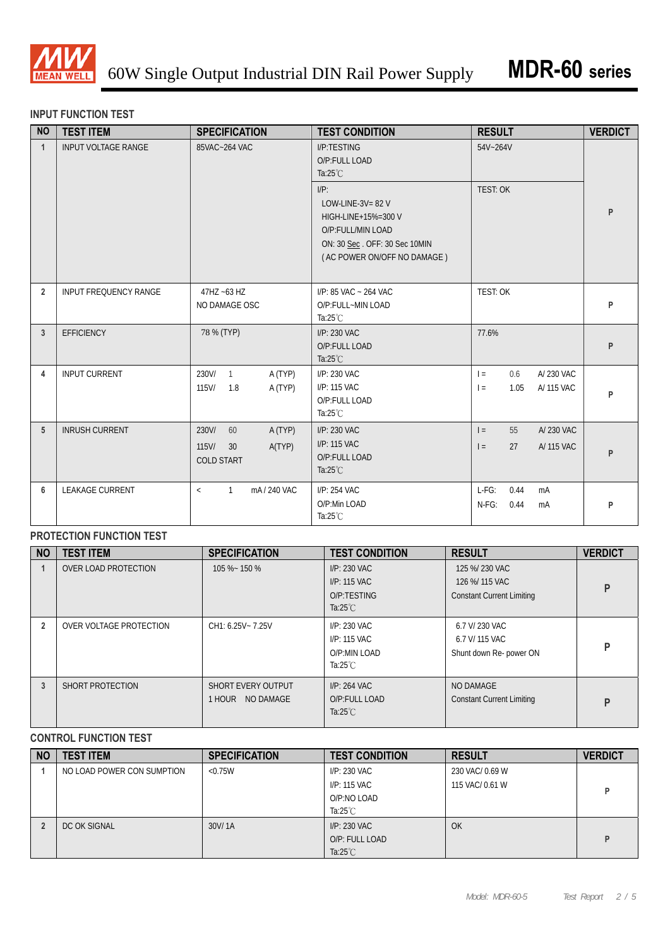

#### **INPUT FUNCTION TEST**

| <b>NO</b>      | <b>TEST ITEM</b>             | <b>SPECIFICATION</b>                                                    | <b>TEST CONDITION</b>                                                                                                                      | <b>RESULT</b>                                        | <b>VERDICT</b> |
|----------------|------------------------------|-------------------------------------------------------------------------|--------------------------------------------------------------------------------------------------------------------------------------------|------------------------------------------------------|----------------|
| $\mathbf{1}$   | <b>INPUT VOLTAGE RANGE</b>   | 85VAC~264 VAC                                                           | I/P:TESTING<br>O/P:FULL LOAD<br>Ta: $25^{\circ}$ C                                                                                         | 54V~264V                                             |                |
|                |                              |                                                                         | $I/P$ :<br>LOW-LINE-3V= $82$ V<br>HIGH-LINE+15%=300 V<br>O/P:FULL/MIN LOAD<br>ON: 30 Sec. OFF: 30 Sec 10MIN<br>(AC POWER ON/OFF NO DAMAGE) | <b>TEST: OK</b>                                      | P              |
| $\overline{2}$ | <b>INPUT FREQUENCY RANGE</b> | 47HZ ~63 HZ<br>NO DAMAGE OSC                                            | I/P: 85 VAC ~ 264 VAC<br>O/P:FULL~MIN LOAD<br>Ta: $25^{\circ}$ C                                                                           | TEST: OK                                             | P              |
| 3              | <b>EFFICIENCY</b>            | 78 % (TYP)                                                              | I/P: 230 VAC<br>O/P:FULL LOAD<br>Ta: $25^{\circ}$ C                                                                                        | 77.6%                                                | P              |
| 4              | <b>INPUT CURRENT</b>         | 230V/<br>$\overline{1}$<br>A (TYP)<br>A (TYP)<br>115V/<br>1.8           | I/P: 230 VAC<br>I/P: 115 VAC<br>O/P:FULL LOAD<br>Ta: $25^{\circ}$ C                                                                        | A/230 VAC<br>0.6<br>$=$<br>1.05<br>A/ 115 VAC<br>$=$ | P              |
| 5              | <b>INRUSH CURRENT</b>        | 230V/<br>60<br>A (TYP)<br>$115$ V/<br>A(TYP)<br>30<br><b>COLD START</b> | I/P: 230 VAC<br>I/P: 115 VAC<br>O/P:FULL LOAD<br>Ta: $25^{\circ}$ C                                                                        | 55<br>A/230 VAC<br>$=$<br>27<br>A/ 115 VAC<br>$=$    | P              |
| 6              | <b>LEAKAGE CURRENT</b>       | mA/240 VAC<br>$\mathbf{1}$<br>$\,<$                                     | I/P: 254 VAC<br>O/P:Min LOAD<br>Ta: $25^{\circ}$ C                                                                                         | $L-FG$ :<br>0.44<br>mA<br>$N-FG$ :<br>0.44<br>mA     | P              |

# **PROTECTION FUNCTION TEST**

| <b>NO</b> | <b>TEST ITEM</b>        | <b>SPECIFICATION</b>                   | <b>TEST CONDITION</b>                                               | <b>RESULT</b>                                                        | <b>VERDICT</b> |
|-----------|-------------------------|----------------------------------------|---------------------------------------------------------------------|----------------------------------------------------------------------|----------------|
|           | OVER LOAD PROTECTION    | 105 %~ 150 %                           | $I/P: 230$ VAC<br>I/P: 115 VAC<br>O/P:TESTING<br>Ta: $25^{\circ}$ C | 125 %/ 230 VAC<br>126 %/ 115 VAC<br><b>Constant Current Limiting</b> | P              |
|           | OVER VOLTAGE PROTECTION | CH1: 6.25V ~ 7.25V                     | I/P: 230 VAC<br>I/P: 115 VAC<br>O/P:MIN LOAD<br>Ta: $25^{\circ}$ C  | 6.7 V/ 230 VAC<br>6.7 V/ 115 VAC<br>Shunt down Re- power ON          | P              |
| 3         | SHORT PROTECTION        | SHORT EVERY OUTPUT<br>1 HOUR NO DAMAGE | $I/P: 264$ VAC<br>O/P:FULL LOAD<br>Ta: $25^{\circ}$ C               | NO DAMAGE<br><b>Constant Current Limiting</b>                        | P              |

## **CONTROL FUNCTION TEST**

| <b>NO</b> | <b>TEST ITEM</b>           | <b>SPECIFICATION</b> | <b>TEST CONDITION</b>                                             | <b>RESULT</b>                      | <b>VERDICT</b> |
|-----------|----------------------------|----------------------|-------------------------------------------------------------------|------------------------------------|----------------|
|           | NO LOAD POWER CON SUMPTION | < 0.75W              | I/P: 230 VAC<br>I/P: 115 VAC<br>O/P:NO LOAD<br>Ta: $25^{\circ}$ C | 230 VAC/ 0.69 W<br>115 VAC/ 0.61 W |                |
|           | DC OK SIGNAL               | 30V/1A               | I/P: 230 VAC<br>O/P: FULL LOAD<br>Ta: $25^{\circ}$ C              | OK                                 | D              |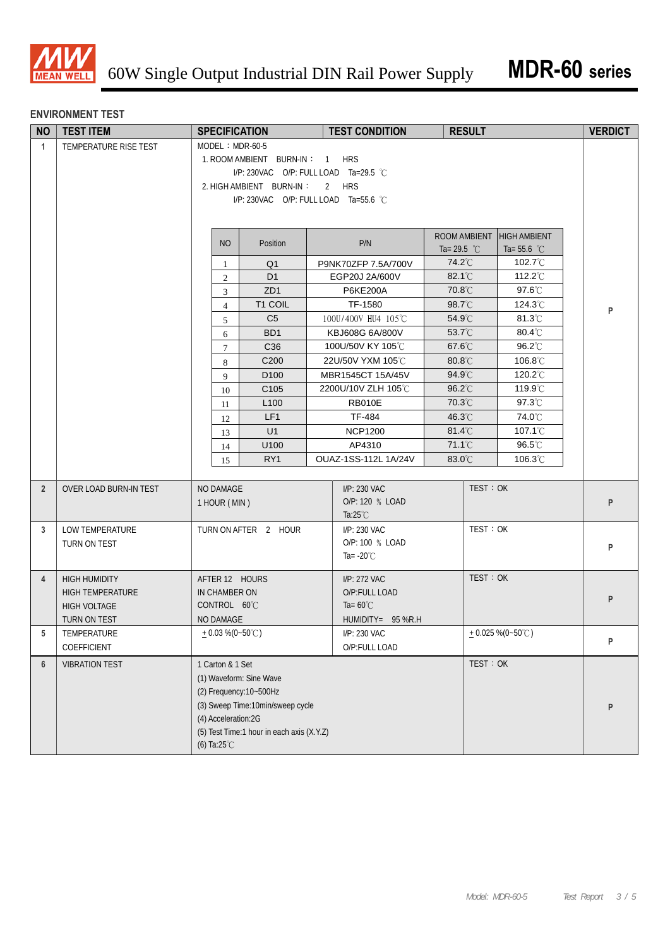

#### **ENVIRONMENT TEST**

| <b>NO</b>      | <b>TEST ITEM</b>        | <b>SPECIFICATION</b>   |                                           | <b>TEST CONDITION</b>           |                       | <b>RESULT</b> |                                | <b>VERDICT</b> |
|----------------|-------------------------|------------------------|-------------------------------------------|---------------------------------|-----------------------|---------------|--------------------------------|----------------|
| $\mathbf{1}$   | TEMPERATURE RISE TEST   | $MODEL : MDR-60-5$     |                                           |                                 |                       |               |                                |                |
|                |                         |                        | 1. ROOM AMBIENT BURN-IN: 1                | <b>HRS</b>                      |                       |               |                                |                |
|                |                         |                        | I/P: 230VAC O/P: FULL LOAD Ta=29.5 °C     |                                 |                       |               |                                |                |
|                |                         |                        | 2. HIGH AMBIENT BURN-IN:                  | 2 HRS                           |                       |               |                                |                |
|                |                         |                        | I/P: 230VAC O/P: FULL LOAD Ta=55.6 °C     |                                 |                       |               |                                |                |
|                |                         |                        |                                           |                                 |                       |               |                                |                |
|                |                         |                        |                                           |                                 | ROOM AMBIENT          |               | <b>HIGH AMBIENT</b>            |                |
|                |                         | <b>NO</b>              | Position                                  | P/N                             | Ta= 29.5 $^{\circ}$ C |               | Ta= 55.6 $^{\circ}$ C          |                |
|                |                         | $\mathbf{1}$           | Q <sub>1</sub>                            | P9NK70ZFP 7.5A/700V             | 74.2°C                |               | 102.7 $°C$                     |                |
|                |                         | $\overline{2}$         | D <sub>1</sub>                            | EGP20J 2A/600V                  | 82.1°C                |               | 112.2 $\degree$ C              |                |
|                |                         | $\mathfrak{Z}$         | ZD <sub>1</sub>                           | <b>P6KE200A</b>                 | 70.8°C                |               | $97.6^{\circ}$ C               |                |
|                |                         | $\overline{4}$         | T1 COIL                                   | TF-1580                         | 98.7°C                |               | 124.3°C                        | P              |
|                |                         | 5                      | C <sub>5</sub>                            | 100U/400V HU4 105℃              | 54.9°C                |               | 81.3°C                         |                |
|                |                         | 6                      | BD <sub>1</sub>                           | KBJ608G 6A/800V                 | 53.7°C                |               | 80.4°C                         |                |
|                |                         | $\tau$                 | C <sub>36</sub>                           | 100U/50V KY 105°C               | 67.6°C                |               | 96.2°C                         |                |
|                |                         | 8                      | C200                                      | 22U/50V YXM 105℃                | 80.8°C                |               | 106.8°C                        |                |
|                |                         | 9                      | D <sub>100</sub>                          | MBR1545CT 15A/45V               | 94.9°C                |               | 120.2°C                        |                |
|                |                         | 10                     | C <sub>105</sub>                          | 2200U/10V ZLH 105℃              | $96.2^{\circ}$        |               | 119.9°C                        |                |
|                |                         | 11                     | L <sub>100</sub>                          | <b>RB010E</b>                   | 70.3°C                |               | 97.3°C                         |                |
|                |                         | 12                     | LF1<br>U1                                 | <b>TF-484</b><br><b>NCP1200</b> | 46.3°C<br>81.4°C      |               | 74.0°C<br>107.1 <sup>°</sup> C |                |
|                |                         | 13                     |                                           |                                 | 71.1°C                |               | $96.5^{\circ}$ C               |                |
|                |                         | 14                     | U100<br>RY <sub>1</sub>                   | AP4310<br>OUAZ-1SS-112L 1A/24V  | 83.0°C                |               | $106.3^{\circ}$ C              |                |
|                |                         | 15                     |                                           |                                 |                       |               |                                |                |
| $\overline{2}$ | OVER LOAD BURN-IN TEST  | NO DAMAGE              |                                           | I/P: 230 VAC                    |                       | TEST: OK      |                                |                |
|                |                         | 1 HOUR (MIN)           |                                           | O/P: 120 % LOAD                 |                       |               |                                | P              |
|                |                         |                        |                                           | Ta: $25^{\circ}$ C              |                       |               |                                |                |
| 3              | LOW TEMPERATURE         |                        | TURN ON AFTER 2 HOUR                      | I/P: 230 VAC                    |                       | TEST: OK      |                                |                |
|                | TURN ON TEST            |                        |                                           | O/P: 100 % LOAD                 |                       |               |                                | P              |
|                |                         |                        |                                           | Ta= $-20^{\circ}$ C             |                       |               |                                |                |
| $\overline{4}$ | <b>HIGH HUMIDITY</b>    | AFTER 12 HOURS         |                                           | I/P: 272 VAC                    |                       | TEST: OK      |                                |                |
|                | <b>HIGH TEMPERATURE</b> | IN CHAMBER ON          |                                           | O/P:FULL LOAD                   |                       |               |                                |                |
|                | <b>HIGH VOLTAGE</b>     | CONTROL 60°C           |                                           | Ta= $60^{\circ}$ C              |                       |               |                                | P              |
|                | TURN ON TEST            | NO DAMAGE              |                                           | $HUMIDITY = 95 % R.H$           |                       |               |                                |                |
| 5              | TEMPERATURE             | $+0.03\%$ (0~50°C)     |                                           | I/P: 230 VAC                    |                       |               | $+0.025\%$ (0~50°C)            |                |
|                | COEFFICIENT             |                        |                                           | O/P:FULL LOAD                   |                       |               |                                | P              |
| 6              | <b>VIBRATION TEST</b>   | 1 Carton & 1 Set       |                                           |                                 |                       | TEST: OK      |                                |                |
|                |                         |                        | (1) Waveform: Sine Wave                   |                                 |                       |               |                                |                |
|                |                         |                        | (2) Frequency: 10~500Hz                   |                                 |                       |               |                                |                |
|                |                         |                        | (3) Sweep Time:10min/sweep cycle          |                                 |                       |               |                                | P              |
|                |                         | (4) Acceleration:2G    |                                           |                                 |                       |               |                                |                |
|                |                         |                        | (5) Test Time:1 hour in each axis (X.Y.Z) |                                 |                       |               |                                |                |
|                |                         | (6) Ta: $25^{\circ}$ C |                                           |                                 |                       |               |                                |                |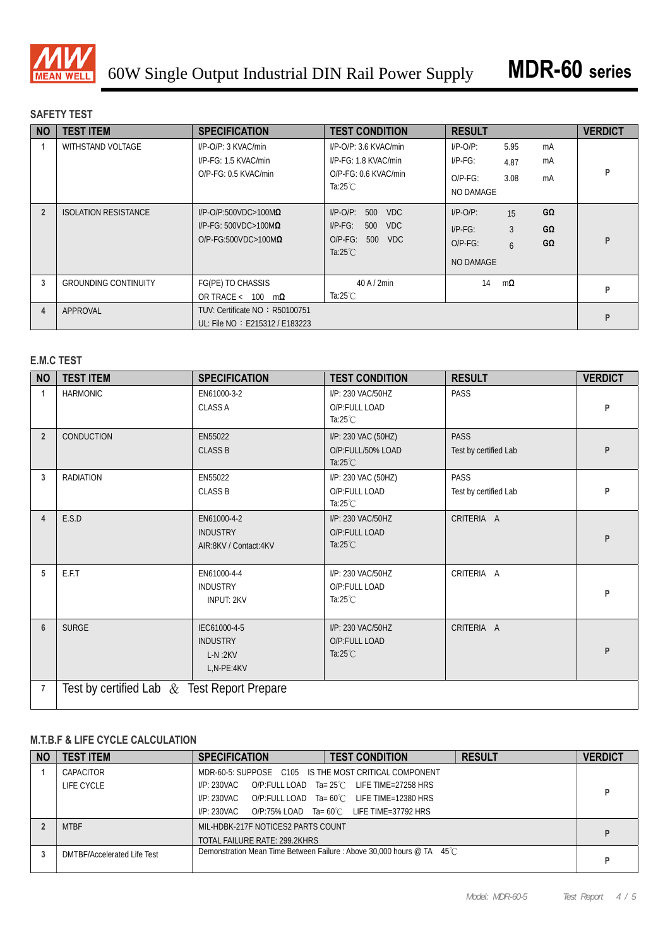

## **SAFETY TEST**

| <b>NO</b>      | <b>TEST ITEM</b>            | <b>SPECIFICATION</b>                                                                           | <b>TEST CONDITION</b>                                                                                               | <b>RESULT</b>                                        |                                                         | <b>VERDICT</b> |
|----------------|-----------------------------|------------------------------------------------------------------------------------------------|---------------------------------------------------------------------------------------------------------------------|------------------------------------------------------|---------------------------------------------------------|----------------|
|                | WITHSTAND VOLTAGE           | I/P-O/P: 3 KVAC/min<br>I/P-FG: 1.5 KVAC/min<br>O/P-FG: 0.5 KVAC/min                            | $I/P$ -O/P: 3.6 KVAC/min<br>I/P-FG: 1.8 KVAC/min<br>O/P-FG: 0.6 KVAC/min<br>Ta: $25^{\circ}$ C                      | $I/P-O/P$ :<br>$IP-FG$ :<br>$O/P-FG$ :<br>NO DAMAGE  | 5.95<br>mA<br>mA<br>4.87<br>3.08<br>mA                  | P              |
| $\overline{2}$ | <b>ISOLATION RESISTANCE</b> | $I/P$ -O/P:500VDC>100M $\Omega$<br>$I/P-FG: 500VDC > 100M\Omega$<br>$O/P-FG:500VDC>100M\Omega$ | $I/P$ - $O/P$ :<br>500<br><b>VDC</b><br>VDC<br>$I/P-FG$ :<br>500<br>$O/P-FG$ :<br>500<br>VDC.<br>Ta: $25^{\circ}$ C | $I/P-O/P$ :<br>$I/P-FG$ :<br>$O/P-FG$ :<br>NO DAMAGE | GΩ<br>15<br>3<br>$G\Omega$<br>$G\Omega$<br>$\mathsf{h}$ | P              |
| 3              | <b>GROUNDING CONTINUITY</b> | FG(PE) TO CHASSIS<br>OR TRACE $< 100$<br>$m\Omega$                                             | $40$ A $/$ 2min<br>Ta:25 $°C$                                                                                       | 14                                                   | $m$ Ω                                                   | P              |
| 4              | APPROVAL                    | TUV: Certificate NO: R50100751<br>UL: File NO: E215312 / E183223                               |                                                                                                                     |                                                      |                                                         | P              |

# **E.M.C TEST**

| <b>NO</b>      | <b>TEST ITEM</b>                               | <b>SPECIFICATION</b>                                       | <b>TEST CONDITION</b>                                          | <b>RESULT</b>                        | <b>VERDICT</b> |
|----------------|------------------------------------------------|------------------------------------------------------------|----------------------------------------------------------------|--------------------------------------|----------------|
|                | <b>HARMONIC</b>                                | EN61000-3-2<br><b>CLASS A</b>                              | I/P: 230 VAC/50HZ<br>O/P:FULL LOAD<br>Ta: $25^{\circ}$ C       | PASS                                 | P              |
| $\overline{2}$ | CONDUCTION                                     | EN55022<br><b>CLASS B</b>                                  | I/P: 230 VAC (50HZ)<br>O/P:FULL/50% LOAD<br>Ta: $25^{\circ}$ C | <b>PASS</b><br>Test by certified Lab | P              |
| 3              | <b>RADIATION</b>                               | EN55022<br><b>CLASS B</b>                                  | I/P: 230 VAC (50HZ)<br>O/P:FULL LOAD<br>Ta: $25^{\circ}$ C     | <b>PASS</b><br>Test by certified Lab | P              |
| $\overline{4}$ | E.S.D                                          | EN61000-4-2<br><b>INDUSTRY</b><br>AIR:8KV / Contact:4KV    | I/P: 230 VAC/50HZ<br>O/P:FULL LOAD<br>Ta: $25^{\circ}$ C       | CRITERIA A                           | P              |
| 5              | E.F.T                                          | EN61000-4-4<br><b>INDUSTRY</b><br><b>INPUT: 2KV</b>        | I/P: 230 VAC/50HZ<br>O/P:FULL LOAD<br>Ta: $25^{\circ}$ C       | CRITERIA A                           | P              |
| $6\phantom{1}$ | <b>SURGE</b>                                   | IEC61000-4-5<br><b>INDUSTRY</b><br>$L-N:2KV$<br>L,N-PE:4KV | I/P: 230 VAC/50HZ<br>O/P:FULL LOAD<br>Ta: $25^{\circ}$ C       | CRITERIA A                           | P              |
| 7              | Test by certified Lab $\&$ Test Report Prepare |                                                            |                                                                |                                      |                |

## **M.T.B.F & LIFE CYCLE CALCULATION**

| <b>NO</b> | <b>TEST ITEM</b>            | <b>SPECIFICATION</b>                                  | <b>TEST CONDITION</b>                                                 | <b>RESULT</b> | <b>VERDICT</b> |  |  |
|-----------|-----------------------------|-------------------------------------------------------|-----------------------------------------------------------------------|---------------|----------------|--|--|
|           | CAPACITOR                   | MDR-60-5: SUPPOSE C105 IS THE MOST CRITICAL COMPONENT |                                                                       |               |                |  |  |
|           | LIFE CYCLE                  | I/P: 230VAC                                           | O/P:FULL LOAD Ta= $25^{\circ}$ C LIFE TIME=27258 HRS                  |               | Þ              |  |  |
|           |                             | I/P: 230VAC                                           | O/P:FULL LOAD Ta= 60°C LIFE TIME=12380 HRS                            |               |                |  |  |
|           |                             | I/P: 230VAC                                           | O/P:75% LOAD Ta= $60^{\circ}$ C LIFE TIME=37792 HRS                   |               |                |  |  |
|           | <b>MTBF</b>                 | MIL-HDBK-217F NOTICES2 PARTS COUNT                    |                                                                       |               |                |  |  |
|           |                             | TOTAL FAILURE RATE: 299.2KHRS                         |                                                                       |               |                |  |  |
|           | DMTBF/Accelerated Life Test |                                                       | Demonstration Mean Time Between Failure: Above 30,000 hours @ TA 45°C |               | D              |  |  |